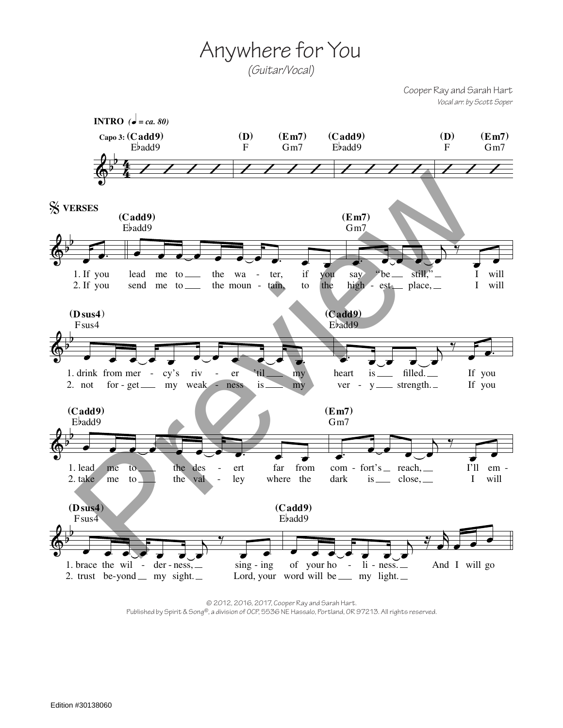Anywhere for You

*(Guitar/Vocal)*

Cooper Ray and Sarah Hart *Vocal arr. by Scott Soper*



© 2012, 2016, 2017, Cooper Ray and Sarah Hart. Published by Spirit & Song®, a division of OCP, 5536 NE Hassalo, Portland, OR 97213. All rights reserved.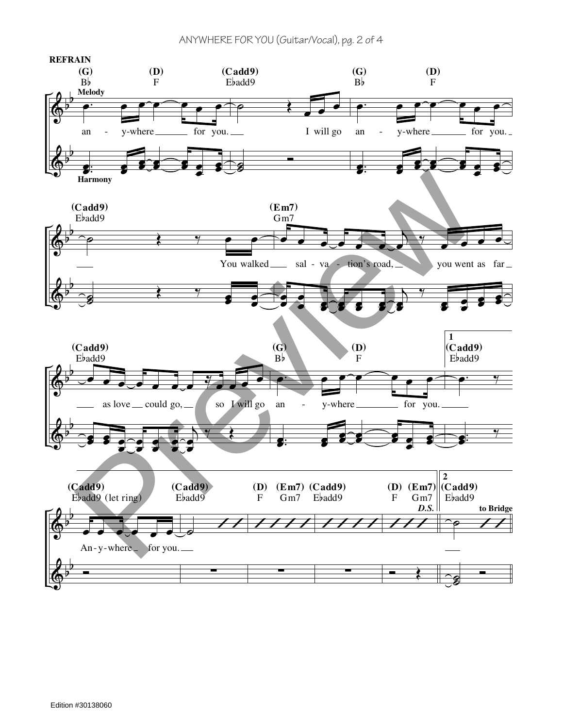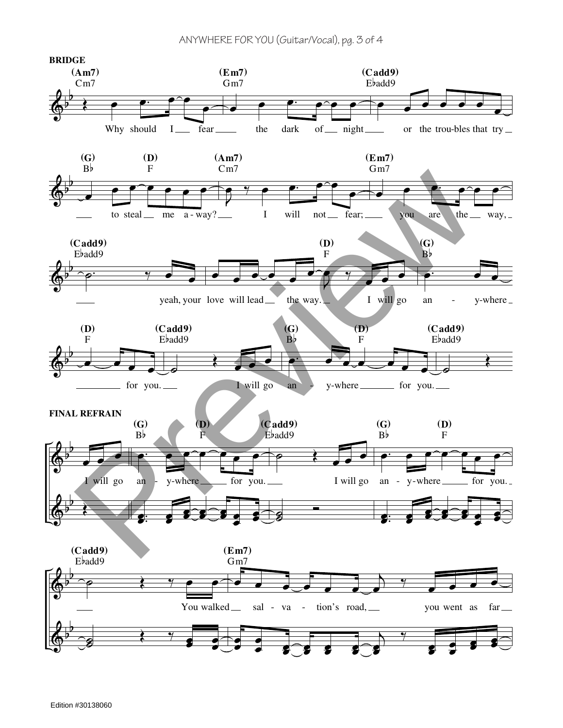